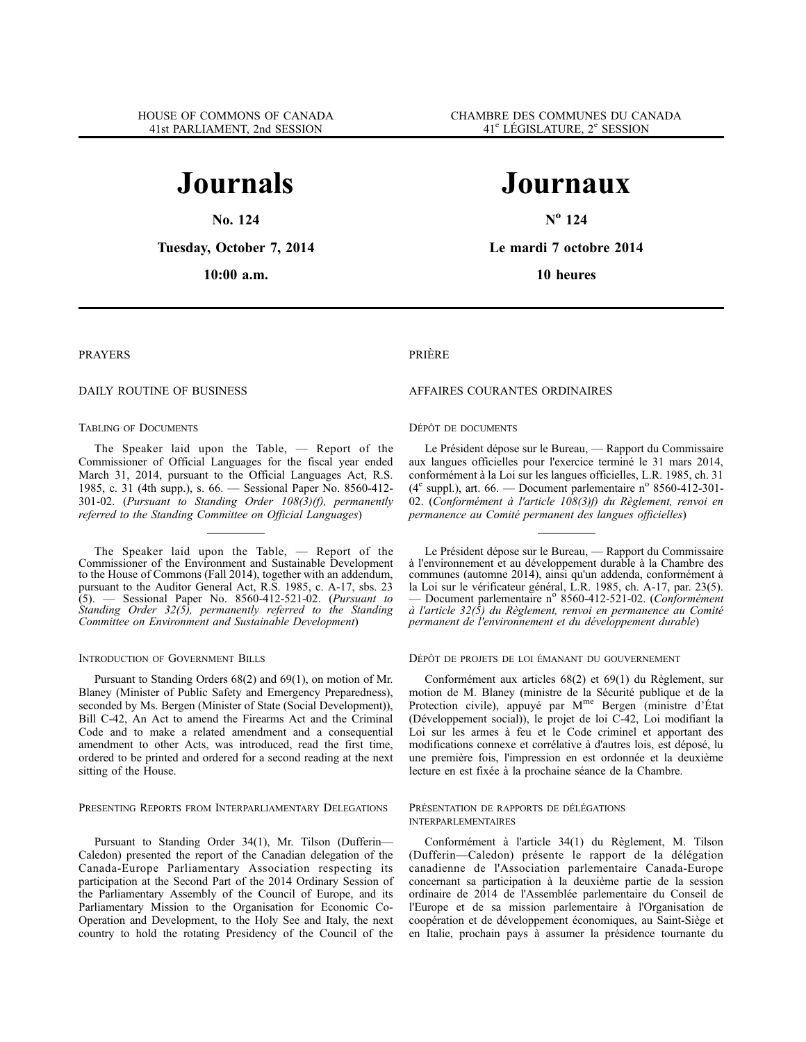# **Journals**

**No. 124**

**Tuesday, October 7, 2014**

**10:00 a.m.**

# **Journaux**

**N<sup>o</sup> 124**

**Le mardi 7 octobre 2014**

**10 heures**

## PRAYERS

## DAILY ROUTINE OF BUSINESS

## TABLING OF DOCUMENTS

The Speaker laid upon the Table, — Report of the Commissioner of Official Languages for the fiscal year ended March 31, 2014, pursuant to the Official Languages Act, R.S. 1985, c. 31 (4th supp.), s. 66. — Sessional Paper No. 8560-412- 301-02. (*Pursuant to Standing Order 108(3)(f), permanently referred to the Standing Committee on Official Languages*)

The Speaker laid upon the Table, — Report of the Commissioner of the Environment and Sustainable Development to the House of Commons (Fall 2014), together with an addendum, pursuant to the Auditor General Act, R.S. 1985, c. A-17, sbs. 23 (5). — Sessional Paper No. 8560-412-521-02. (*Pursuant to Standing Order 32(5), permanently referred to the Standing Committee on Environment and Sustainable Development*)

## INTRODUCTION OF GOVERNMENT BILLS

Pursuant to Standing Orders 68(2) and 69(1), on motion of Mr. Blaney (Minister of Public Safety and Emergency Preparedness), seconded by Ms. Bergen (Minister of State (Social Development)), Bill C-42, An Act to amend the Firearms Act and the Criminal Code and to make a related amendment and a consequential amendment to other Acts, was introduced, read the first time, ordered to be printed and ordered for a second reading at the next sitting of the House.

## PRESENTING REPORTS FROM INTERPARLIAMENTARY DELEGATIONS

Pursuant to Standing Order 34(1), Mr. Tilson (Dufferin— Caledon) presented the report of the Canadian delegation of the Canada-Europe Parliamentary Association respecting its participation at the Second Part of the 2014 Ordinary Session of the Parliamentary Assembly of the Council of Europe, and its Parliamentary Mission to the Organisation for Economic Co-Operation and Development, to the Holy See and Italy, the next country to hold the rotating Presidency of the Council of the

#### PRIÈRE

## AFFAIRES COURANTES ORDINAIRES

#### DÉPÔT DE DOCUMENTS

Le Président dépose sur le Bureau, — Rapport du Commissaire aux langues officielles pour l'exercice terminé le 31 mars 2014, conformément à la Loi sur les langues officielles, L.R. 1985, ch. 31  $(4^e \text{ supp.}),$  art. 66. — Document parlementaire n° 8560-412-301-02. (*Conformément à l'article 108(3)f) du Règlement, renvoi en permanence au Comité permanent des langues officielles*)

Le Président dépose sur le Bureau, — Rapport du Commissaire à l'environnement et au développement durable à la Chambre des communes (automne 2014), ainsi qu'un addenda, conformément à la Loi sur le vérificateur général, L.R. 1985, ch. A-17, par. 23(5). — Document parlementaire n<sup>o</sup> 8560-412-521-02. (*Conformément à l'article 32(5) du Règlement, renvoi en permanence au Comité permanent de l'environnement et du développement durable*)

#### DÉPÔT DE PROJETS DE LOI ÉMANANT DU GOUVERNEMENT

Conformément aux articles 68(2) et 69(1) du Règlement, sur motion de M. Blaney (ministre de la Sécurité publique et de la Protection civile), appuyé par Mme Bergen (ministre d'État (Développement social)), le projet de loi C-42, Loi modifiant la Loi sur les armes à feu et le Code criminel et apportant des modifications connexe et corrélative à d'autres lois, est déposé, lu une première fois, l'impression en est ordonnée et la deuxième lecture en est fixée à la prochaine séance de la Chambre.

#### PRÉSENTATION DE RAPPORTS DE DÉLÉGATIONS INTERPARLEMENTAIRES

Conformément à l'article 34(1) du Règlement, M. Tilson (Dufferin—Caledon) présente le rapport de la délégation canadienne de l'Association parlementaire Canada-Europe concernant sa participation à la deuxième partie de la session ordinaire de 2014 de l'Assemblée parlementaire du Conseil de l'Europe et de sa mission parlementaire à l'Organisation de coopération et de développement économiques, au Saint-Siège et en Italie, prochain pays à assumer la présidence tournante du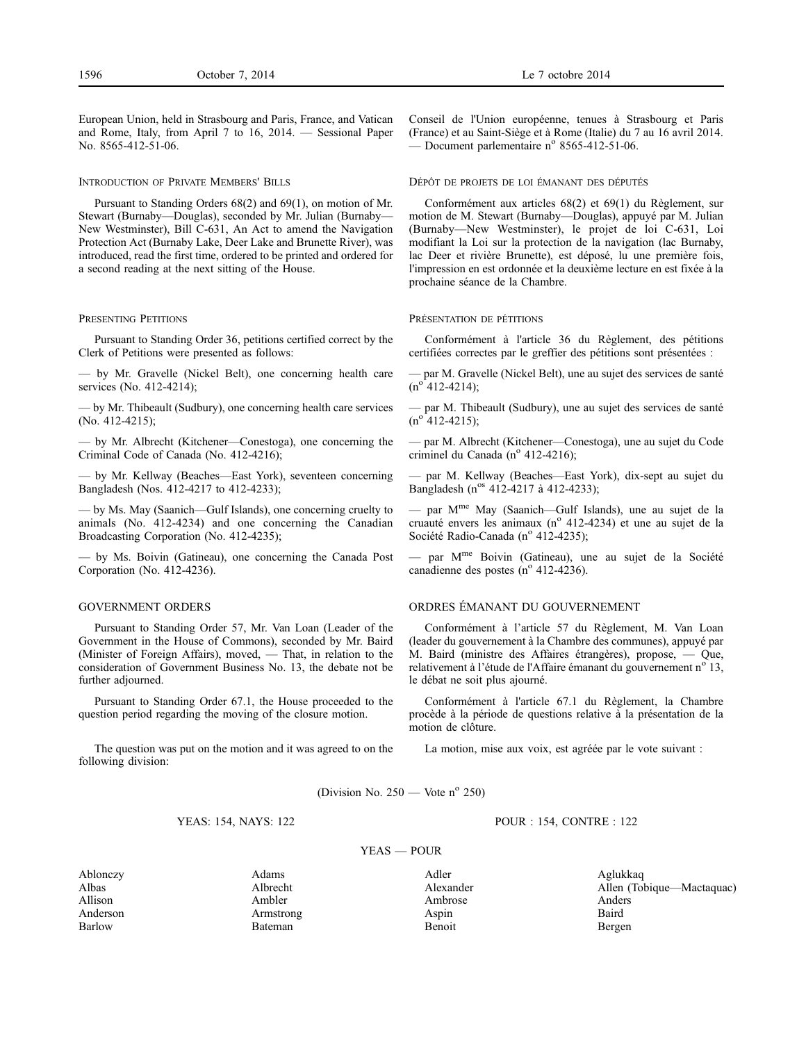European Union, held in Strasbourg and Paris, France, and Vatican and Rome, Italy, from April 7 to 16, 2014. — Sessional Paper No. 8565-412-51-06.

#### INTRODUCTION OF PRIVATE MEMBERS' BILLS

Pursuant to Standing Orders 68(2) and 69(1), on motion of Mr. Stewart (Burnaby—Douglas), seconded by Mr. Julian (Burnaby— New Westminster), Bill C-631, An Act to amend the Navigation Protection Act (Burnaby Lake, Deer Lake and Brunette River), was introduced, read the first time, ordered to be printed and ordered for a second reading at the next sitting of the House.

#### PRESENTING PETITIONS

Pursuant to Standing Order 36, petitions certified correct by the Clerk of Petitions were presented as follows:

— by Mr. Gravelle (Nickel Belt), one concerning health care services (No. 412-4214);

— by Mr. Thibeault (Sudbury), one concerning health care services (No. 412-4215);

— by Mr. Albrecht (Kitchener—Conestoga), one concerning the Criminal Code of Canada (No. 412-4216);

— by Mr. Kellway (Beaches—East York), seventeen concerning Bangladesh (Nos. 412-4217 to 412-4233);

— by Ms. May (Saanich—Gulf Islands), one concerning cruelty to animals (No. 412-4234) and one concerning the Canadian Broadcasting Corporation (No. 412-4235);

— by Ms. Boivin (Gatineau), one concerning the Canada Post Corporation (No. 412-4236).

## GOVERNMENT ORDERS

Pursuant to Standing Order 57, Mr. Van Loan (Leader of the Government in the House of Commons), seconded by Mr. Baird (Minister of Foreign Affairs), moved, — That, in relation to the consideration of Government Business No. 13, the debate not be further adjourned.

Pursuant to Standing Order 67.1, the House proceeded to the question period regarding the moving of the closure motion.

The question was put on the motion and it was agreed to on the following division:

## Conseil de l'Union européenne, tenues à Strasbourg et Paris (France) et au Saint-Siège et à Rome (Italie) du 7 au 16 avril 2014. — Document parlementaire  $n^{\circ}$  8565-412-51-06.

#### DÉPÔT DE PROJETS DE LOI ÉMANANT DES DÉPUTÉS

Conformément aux articles 68(2) et 69(1) du Règlement, sur motion de M. Stewart (Burnaby—Douglas), appuyé par M. Julian (Burnaby—New Westminster), le projet de loi C-631, Loi modifiant la Loi sur la protection de la navigation (lac Burnaby, lac Deer et rivière Brunette), est déposé, lu une première fois, l'impression en est ordonnée et la deuxième lecture en est fixée à la prochaine séance de la Chambre.

#### PRÉSENTATION DE PÉTITIONS

Conformément à l'article 36 du Règlement, des pétitions certifiées correctes par le greffier des pétitions sont présentées :

— par M. Gravelle (Nickel Belt), une au sujet des services de santé  $(n^{o} 412 - 4214);$ 

— par M. Thibeault (Sudbury), une au sujet des services de santé  $(n^{o}$  412-4215);

— par M. Albrecht (Kitchener—Conestoga), une au sujet du Code criminel du Canada (nº 412-4216);

— par M. Kellway (Beaches—East York), dix-sept au sujet du Bangladesh (n<sup>os</sup> 412-4217 à 412-4233);

— par Mme May (Saanich—Gulf Islands), une au sujet de la cruauté envers les animaux  $(n^{\circ} 412-4234)$  et une au sujet de la Société Radio-Canada (nº 412-4235);

par M<sup>me</sup> Boivin (Gatineau), une au sujet de la Société canadienne des postes ( $n^{\circ}$  412-4236).

## ORDRES ÉMANANT DU GOUVERNEMENT

Conformément à l'article 57 du Règlement, M. Van Loan (leader du gouvernement à la Chambre des communes), appuyé par M. Baird (ministre des Affaires étrangères), propose, — Que, relativement à l'étude de l'Affaire émanant du gouvernement n<sup>o</sup> 13, le débat ne soit plus ajourné.

Conformément à l'article 67.1 du Règlement, la Chambre procède à la période de questions relative à la présentation de la motion de clôture.

La motion, mise aux voix, est agréée par le vote suivant :

POUR : 154, CONTRE : 122

(Division No.  $250$  — Vote n<sup>o</sup> 250)

YEAS — POUR

## YEAS: 154, NAYS: 122

Allison Ambler Ambrose Anders Anderson Armstrong Armstrong Aspin Baird

Barlow Bateman Bateman Benoit Benoit Bergen

Albas Albrecht Alexander Allen (Tobique—Mactaquac)

Ablonczy Adams Adler Aglukkaq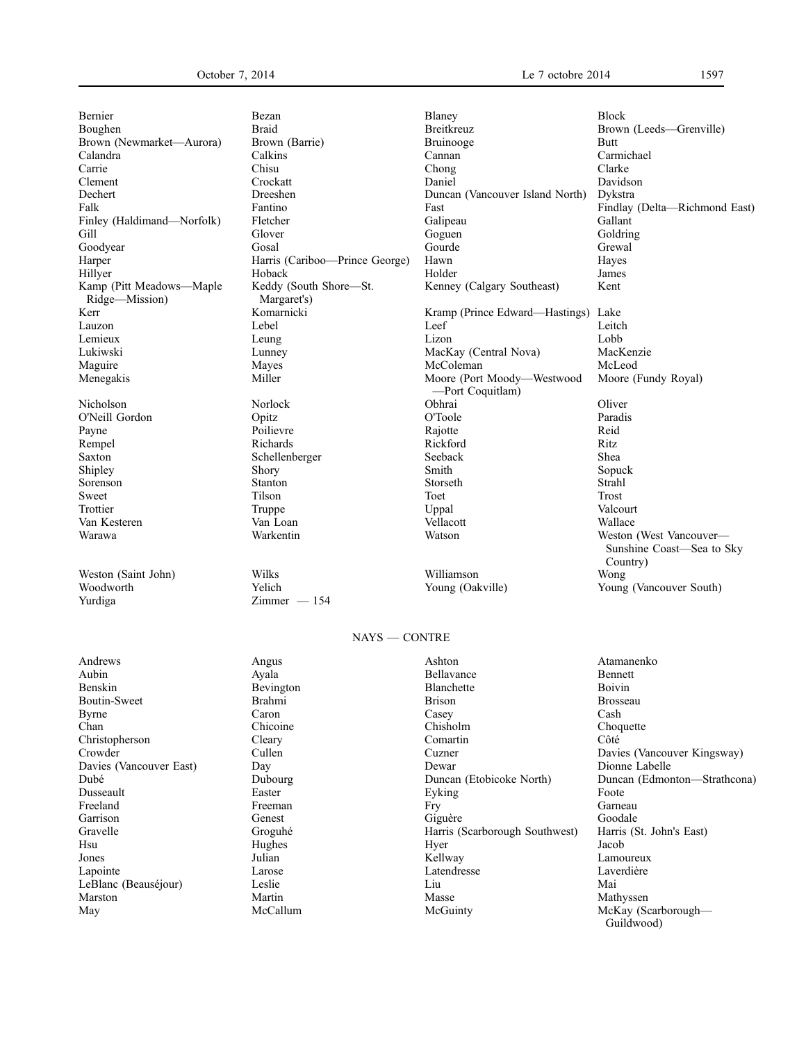| Bernier                                    | Bezan                                 | Blaney                                         | <b>Block</b> |
|--------------------------------------------|---------------------------------------|------------------------------------------------|--------------|
| Boughen                                    | <b>Braid</b>                          | Breitkreuz                                     | Brown (Lee   |
| Brown (Newmarket-Aurora)                   | Brown (Barrie)                        | <b>Bruinooge</b>                               | Butt         |
| Calandra                                   | Calkins                               | Cannan                                         | Carmichael   |
| Carrie                                     | Chisu                                 | Chong                                          | Clarke       |
| Clement                                    | Crockatt                              | Daniel                                         | Davidson     |
| Dechert                                    | Dreeshen                              | Duncan (Vancouver Island North)                | Dykstra      |
| Falk                                       | Fantino                               | Fast                                           | Findlay (D   |
| Finley (Haldimand—Norfolk)                 | Fletcher                              | Galipeau                                       | Gallant      |
| Gill                                       | Glover                                | Goguen                                         | Goldring     |
| Goodyear                                   | Gosal                                 | Gourde                                         | Grewal       |
| Harper                                     | Harris (Cariboo—Prince George)        | Hawn                                           | Hayes        |
| Hillyer                                    | Hoback                                | Holder                                         | James        |
| Kamp (Pitt Meadows—Maple<br>Ridge—Mission) | Keddy (South Shore—St.<br>Margaret's) | Kenney (Calgary Southeast)                     | Kent         |
| Kerr                                       | Komarnicki                            | Kramp (Prince Edward—Hastings) Lake            |              |
| Lauzon                                     | Lebel                                 | Leef                                           | Leitch       |
| Lemieux                                    | Leung                                 | Lizon                                          | Lobb         |
| Lukiwski                                   | Lunney                                | MacKay (Central Nova)                          | MacKenzie    |
| Maguire                                    | Mayes                                 | McColeman                                      | McLeod       |
| Menegakis                                  | Miller                                | Moore (Port Moody—Westwood<br>-Port Coquitlam) | Moore (Fur   |
| Nicholson                                  | Norlock                               | Obhrai                                         | Oliver       |
| O'Neill Gordon                             | Opitz                                 | O'Toole                                        | Paradis      |
| Payne                                      | Poilievre                             | Rajotte                                        | Reid         |
| Rempel                                     | Richards                              | Rickford                                       | Ritz         |
| Saxton                                     | Schellenberger                        | Seeback                                        | Shea         |
| Shipley                                    | Shory                                 | Smith                                          | Sopuck       |
| Sorenson                                   | Stanton                               | Storseth                                       | Strahl       |
| Sweet                                      | Tilson                                | Toet                                           | <b>Trost</b> |

Weston (Saint John) Wilks Williamson Williamson Wong (Oakville) Weston Williamson Wong (Oakville)

Keddy (South Shore—St. Margaret's)<br>Komarnicki

 $Zimmer - 154$ 

Dechen Duncan (Vancouver Island North) Dykstra<br>Fantino Fast Findlay Harris (Cariboo—Prince George) Hawn Hayes Kenney (Calgary Southeast) Kent Komarnicki Kramp (Prince Edward—Hastings) Lake<br>Lebel Leef Leitcl Miller Moore (Port Moody—Westwood —Port Coquitlam) Schellenberger Seeback Shea Shear Seeback Shea Shear Shear Shear Shear Shear Shear Shear Shear Shear Shear Shear Shear Shear Shear Shear Shear Shear Shear Shear Shear Shear Shear Shear Shear Shear Shear Shear Shear Shear S Sweet Trison Tilson Toet Trost Trost Trottier and Truppe Truppe Uppal Uppal Valcourt Van Kesteren Van Loan Vellacott Wallace

Braid Breitkreuz Brown (Leeds—Grenville) Brown (Barrie) Bruinooge Butt<br>
Calkins Cannan Carmichael Findlay (Delta-Richmond East) Lunney MacKay (Central Nova) MacKenzie<br>MacColeman McColeman McLeod Moore (Fundy Royal) Warawa Warkentin Watson Weston (West Vancouver— Sunshine Coast—Sea to Sky Country)<br>Wong Woodworth Yelich Young (Oakville) Young (Vancouver South)<br>
Young (Vancouver South) Young (Vancouver South)

# NAYS — CONTRE

| Andrews                 | Angus          | Ashton                         | Atamanenko                   |
|-------------------------|----------------|--------------------------------|------------------------------|
| Aubin                   | Ayala          | Bellavance                     | Bennett                      |
| Benskin                 | Bevington      | Blanchette                     | Boivin                       |
| Boutin-Sweet            | Brahmi         | <b>Brison</b>                  | <b>Brosseau</b>              |
| Byrne                   | Caron          | Casey                          | Cash                         |
| Chan                    | Chicoine       | Chisholm                       | Choquette                    |
| Christopherson          | Cleary         | Comartin                       | Côté                         |
| Crowder                 | Cullen         | Cuzner                         | Davies (Vancouver Kingsway)  |
| Davies (Vancouver East) | Day            | Dewar                          | Dionne Labelle               |
| Dubé                    | <b>Dubourg</b> | Duncan (Etobicoke North)       | Duncan (Edmonton—Strathcona) |
| Dusseault               | Easter         | Eyking                         | Foote                        |
| Freeland                | Freeman        | Fry                            | Garneau                      |
| Garrison                | Genest         | Giguère                        | Goodale                      |
| Gravelle                | Groguhé        | Harris (Scarborough Southwest) | Harris (St. John's East)     |
| Hsu                     | Hughes         | Hyer                           | Jacob                        |
| Jones                   | Julian         | Kellway                        | Lamoureux                    |
| Lapointe                | Larose         | Latendresse                    | Laverdière                   |
| LeBlanc (Beauséjour)    | Leslie         | Liu                            | Mai                          |
| Marston                 | Martin         | Masse                          | Mathyssen                    |
| May                     | McCallum       | McGuinty                       | McKay (Scarborough—          |
|                         |                |                                | Guildwood)                   |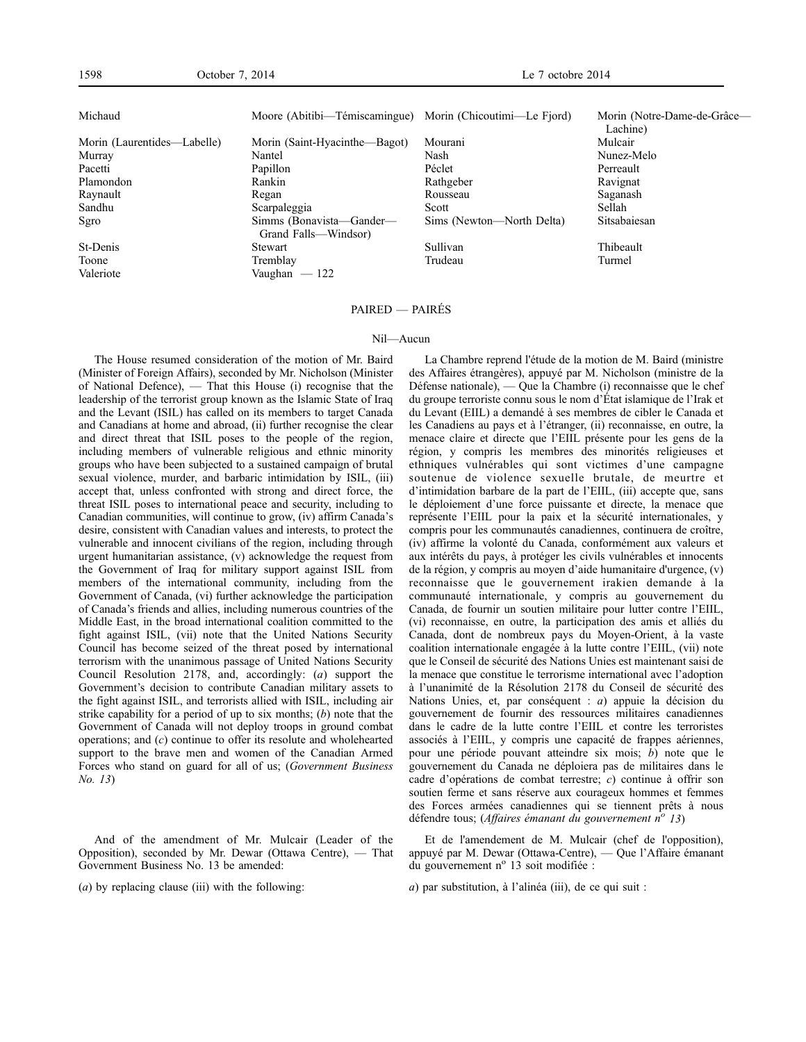| Michaud                     | Moore (Abitibi—Témiscamingue) Morin (Chicoutimi—Le Fjord) |                           | Morin (Notre-Dame-de-Grâce—<br>Lachine) |
|-----------------------------|-----------------------------------------------------------|---------------------------|-----------------------------------------|
|                             |                                                           |                           |                                         |
| Morin (Laurentides—Labelle) | Morin (Saint-Hyacinthe-Bagot)                             | Mourani                   | Mulcair                                 |
| Murray                      | Nantel                                                    | Nash                      | Nunez-Melo                              |
| Pacetti                     | Papillon                                                  | Péclet                    | Perreault                               |
| Plamondon                   | Rankin                                                    | Rathgeber                 | Ravignat                                |
| Raynault                    | Regan                                                     | Rousseau                  | Saganash                                |
| Sandhu                      | Scarpaleggia                                              | Scott                     | Sellah                                  |
| Sgro                        | Simms (Bonavista—Gander—<br>Grand Falls—Windsor)          | Sims (Newton—North Delta) | Sitsabaiesan                            |
| St-Denis                    | Stewart                                                   | Sullivan                  | Thibeault                               |
| Toone                       | Tremblay                                                  | Trudeau                   | Turmel                                  |
| Valeriote                   | Vaughan $-122$                                            |                           |                                         |

## PAIRED — PAIRÉS

#### Nil—Aucun

The House resumed consideration of the motion of Mr. Baird (Minister of Foreign Affairs), seconded by Mr. Nicholson (Minister of National Defence), — That this House (i) recognise that the leadership of the terrorist group known as the Islamic State of Iraq and the Levant (ISIL) has called on its members to target Canada and Canadians at home and abroad, (ii) further recognise the clear and direct threat that ISIL poses to the people of the region, including members of vulnerable religious and ethnic minority groups who have been subjected to a sustained campaign of brutal sexual violence, murder, and barbaric intimidation by ISIL, (iii) accept that, unless confronted with strong and direct force, the threat ISIL poses to international peace and security, including to Canadian communities, will continue to grow, (iv) affirm Canada's desire, consistent with Canadian values and interests, to protect the vulnerable and innocent civilians of the region, including through urgent humanitarian assistance, (v) acknowledge the request from the Government of Iraq for military support against ISIL from members of the international community, including from the Government of Canada, (vi) further acknowledge the participation of Canada's friends and allies, including numerous countries of the Middle East, in the broad international coalition committed to the fight against ISIL, (vii) note that the United Nations Security Council has become seized of the threat posed by international terrorism with the unanimous passage of United Nations Security Council Resolution 2178, and, accordingly: (*a*) support the Government's decision to contribute Canadian military assets to the fight against ISIL, and terrorists allied with ISIL, including air strike capability for a period of up to six months; (*b*) note that the Government of Canada will not deploy troops in ground combat operations; and (*c*) continue to offer its resolute and wholehearted support to the brave men and women of the Canadian Armed Forces who stand on guard for all of us; (*Government Business No. 13*)

And of the amendment of Mr. Mulcair (Leader of the Opposition), seconded by Mr. Dewar (Ottawa Centre), — That Government Business No. 13 be amended:

(*a*) by replacing clause (iii) with the following:

La Chambre reprend l'étude de la motion de M. Baird (ministre des Affaires étrangères), appuyé par M. Nicholson (ministre de la Défense nationale), — Que la Chambre (i) reconnaisse que le chef du groupe terroriste connu sous le nom d'État islamique de l'Irak et du Levant (EIIL) a demandé à ses membres de cibler le Canada et les Canadiens au pays et à l'étranger, (ii) reconnaisse, en outre, la menace claire et directe que l'EIIL présente pour les gens de la région, y compris les membres des minorités religieuses et ethniques vulnérables qui sont victimes d'une campagne soutenue de violence sexuelle brutale, de meurtre et d'intimidation barbare de la part de l'EIIL, (iii) accepte que, sans le déploiement d'une force puissante et directe, la menace que représente l'EIIL pour la paix et la sécurité internationales, y compris pour les communautés canadiennes, continuera de croître, (iv) affirme la volonté du Canada, conformément aux valeurs et aux intérêts du pays, à protéger les civils vulnérables et innocents de la région, y compris au moyen d'aide humanitaire d'urgence, (v) reconnaisse que le gouvernement irakien demande à la communauté internationale, y compris au gouvernement du Canada, de fournir un soutien militaire pour lutter contre l'EIIL, (vi) reconnaisse, en outre, la participation des amis et alliés du Canada, dont de nombreux pays du Moyen-Orient, à la vaste coalition internationale engagée à la lutte contre l'EIIL, (vii) note que le Conseil de sécurité des Nations Unies est maintenant saisi de la menace que constitue le terrorisme international avec l'adoption à l'unanimité de la Résolution 2178 du Conseil de sécurité des Nations Unies, et, par conséquent : *a*) appuie la décision du gouvernement de fournir des ressources militaires canadiennes dans le cadre de la lutte contre l'EIIL et contre les terroristes associés à l'EIIL, y compris une capacité de frappes aériennes, pour une période pouvant atteindre six mois; *b*) note que le gouvernement du Canada ne déploiera pas de militaires dans le cadre d'opérations de combat terrestre; *c*) continue à offrir son soutien ferme et sans réserve aux courageux hommes et femmes des Forces armées canadiennes qui se tiennent prêts à nous défendre tous; (*Affaires émanant du gouvernement n<sup>o</sup> 13*)

Et de l'amendement de M. Mulcair (chef de l'opposition), appuyé par M. Dewar (Ottawa-Centre), — Que l'Affaire émanant du gouvernement n<sup>o</sup> 13 soit modifiée :

*a*) par substitution, à l'alinéa (iii), de ce qui suit :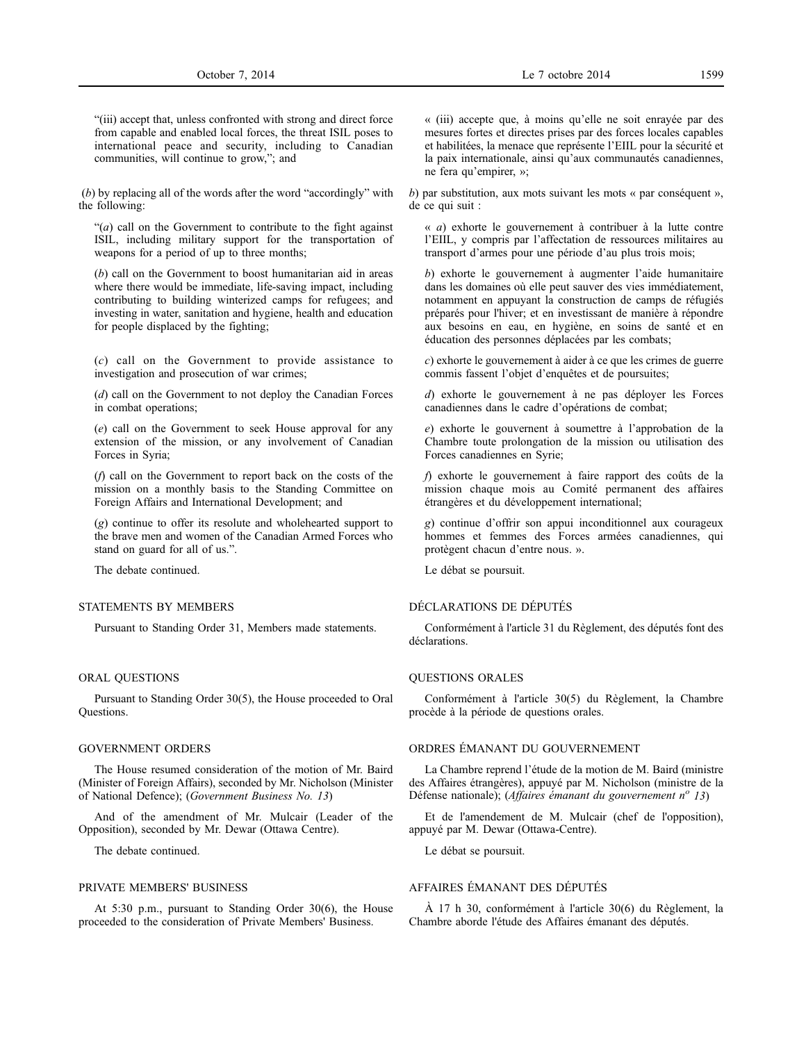"(iii) accept that, unless confronted with strong and direct force from capable and enabled local forces, the threat ISIL poses to international peace and security, including to Canadian communities, will continue to grow,"; and

(*b*) by replacing all of the words after the word "accordingly" with the following:

"(*a*) call on the Government to contribute to the fight against ISIL, including military support for the transportation of weapons for a period of up to three months;

(*b*) call on the Government to boost humanitarian aid in areas where there would be immediate, life-saving impact, including contributing to building winterized camps for refugees; and investing in water, sanitation and hygiene, health and education for people displaced by the fighting;

(*c*) call on the Government to provide assistance to investigation and prosecution of war crimes;

(*d*) call on the Government to not deploy the Canadian Forces in combat operations;

(*e*) call on the Government to seek House approval for any extension of the mission, or any involvement of Canadian Forces in Syria;

(*f*) call on the Government to report back on the costs of the mission on a monthly basis to the Standing Committee on Foreign Affairs and International Development; and

(*g*) continue to offer its resolute and wholehearted support to the brave men and women of the Canadian Armed Forces who stand on guard for all of us.".

The debate continued.

## STATEMENTS BY MEMBERS

Pursuant to Standing Order 31, Members made statements.

#### ORAL QUESTIONS

Pursuant to Standing Order 30(5), the House proceeded to Oral Questions.

#### GOVERNMENT ORDERS

The House resumed consideration of the motion of Mr. Baird (Minister of Foreign Affairs), seconded by Mr. Nicholson (Minister of National Defence); (*Government Business No. 13*)

And of the amendment of Mr. Mulcair (Leader of the Opposition), seconded by Mr. Dewar (Ottawa Centre).

The debate continued.

#### PRIVATE MEMBERS' BUSINESS

At 5:30 p.m., pursuant to Standing Order 30(6), the House proceeded to the consideration of Private Members' Business.

*b*) par substitution, aux mots suivant les mots « par conséquent », de ce qui suit :

« *a*) exhorte le gouvernement à contribuer à la lutte contre l'EIIL, y compris par l'affectation de ressources militaires au transport d'armes pour une période d'au plus trois mois;

*b*) exhorte le gouvernement à augmenter l'aide humanitaire dans les domaines où elle peut sauver des vies immédiatement, notamment en appuyant la construction de camps de réfugiés préparés pour l'hiver; et en investissant de manière à répondre aux besoins en eau, en hygiène, en soins de santé et en éducation des personnes déplacées par les combats;

*c*) exhorte le gouvernement à aider à ce que les crimes de guerre commis fassent l'objet d'enquêtes et de poursuites;

*d*) exhorte le gouvernement à ne pas déployer les Forces canadiennes dans le cadre d'opérations de combat;

*e*) exhorte le gouvernent à soumettre à l'approbation de la Chambre toute prolongation de la mission ou utilisation des Forces canadiennes en Syrie;

*f*) exhorte le gouvernement à faire rapport des coûts de la mission chaque mois au Comité permanent des affaires étrangères et du développement international;

*g*) continue d'offrir son appui inconditionnel aux courageux hommes et femmes des Forces armées canadiennes, qui protègent chacun d'entre nous. ».

Le débat se poursuit.

## DÉCLARATIONS DE DÉPUTÉS

Conformément à l'article 31 du Règlement, des députés font des déclarations.

#### QUESTIONS ORALES

Conformément à l'article 30(5) du Règlement, la Chambre procède à la période de questions orales.

#### ORDRES ÉMANANT DU GOUVERNEMENT

La Chambre reprend l'étude de la motion de M. Baird (ministre des Affaires étrangères), appuyé par M. Nicholson (ministre de la Défense nationale); (*Affaires émanant du gouvernement n<sup>o</sup> 13*)

Et de l'amendement de M. Mulcair (chef de l'opposition), appuyé par M. Dewar (Ottawa-Centre).

Le débat se poursuit.

## AFFAIRES ÉMANANT DES DÉPUTÉS

À 17 h 30, conformément à l'article 30(6) du Règlement, la Chambre aborde l'étude des Affaires émanant des députés.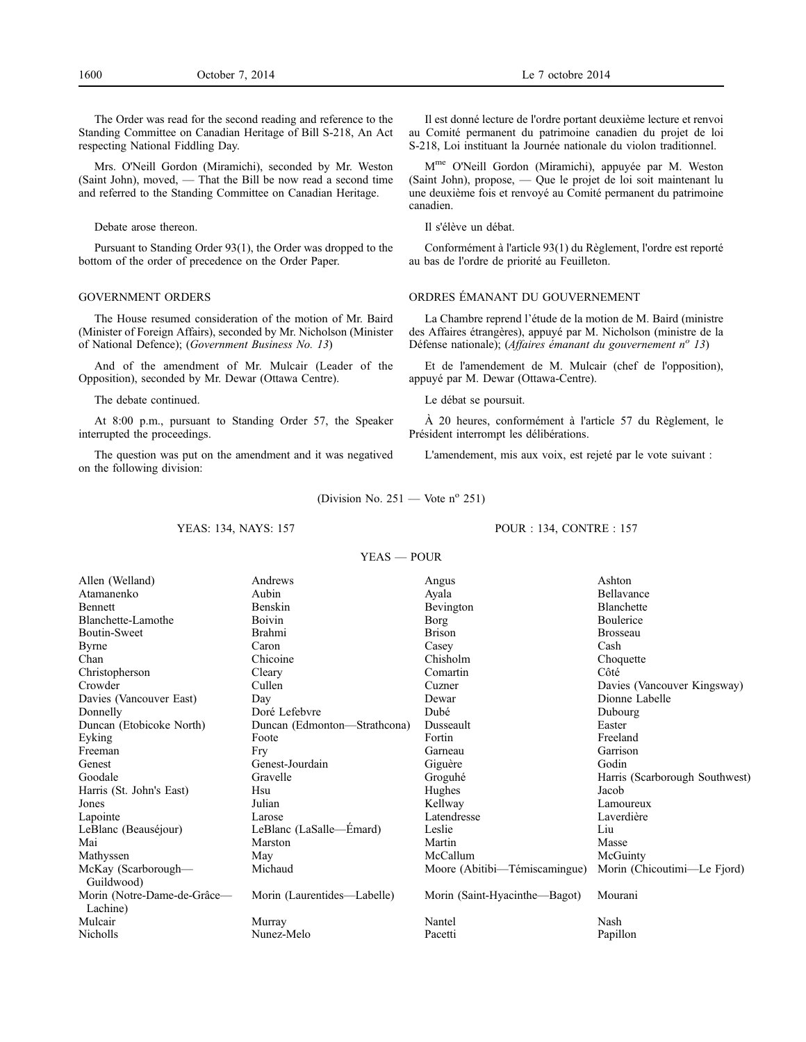The Order was read for the second reading and reference to the Standing Committee on Canadian Heritage of Bill S-218, An Act respecting National Fiddling Day.

Mrs. O'Neill Gordon (Miramichi), seconded by Mr. Weston (Saint John), moved, — That the Bill be now read a second time and referred to the Standing Committee on Canadian Heritage.

Debate arose thereon.

Pursuant to Standing Order 93(1), the Order was dropped to the bottom of the order of precedence on the Order Paper.

#### GOVERNMENT ORDERS

The House resumed consideration of the motion of Mr. Baird (Minister of Foreign Affairs), seconded by Mr. Nicholson (Minister of National Defence); (*Government Business No. 13*)

And of the amendment of Mr. Mulcair (Leader of the Opposition), seconded by Mr. Dewar (Ottawa Centre).

The debate continued.

At 8:00 p.m., pursuant to Standing Order 57, the Speaker interrupted the proceedings.

The question was put on the amendment and it was negatived on the following division:

Il est donné lecture de l'ordre portant deuxième lecture et renvoi au Comité permanent du patrimoine canadien du projet de loi S-218, Loi instituant la Journée nationale du violon traditionnel.

Mme O'Neill Gordon (Miramichi), appuyée par M. Weston (Saint John), propose, — Que le projet de loi soit maintenant lu une deuxième fois et renvoyé au Comité permanent du patrimoine canadien.

Il s'élève un débat.

Conformément à l'article 93(1) du Règlement, l'ordre est reporté au bas de l'ordre de priorité au Feuilleton.

## ORDRES ÉMANANT DU GOUVERNEMENT

La Chambre reprend l'étude de la motion de M. Baird (ministre des Affaires étrangères), appuyé par M. Nicholson (ministre de la Défense nationale); (*Affaires émanant du gouvernement n<sup>o</sup> 13*)

Et de l'amendement de M. Mulcair (chef de l'opposition), appuyé par M. Dewar (Ottawa-Centre).

Le débat se poursuit.

À 20 heures, conformément à l'article 57 du Règlement, le Président interrompt les délibérations.

L'amendement, mis aux voix, est rejeté par le vote suivant :

(Division No. 251 — Vote  $n^{\circ}$  251)

## YEAS: 134, NAYS: 157

## POUR : 134, CONTRE : 157

| YEAS — POUR |  |
|-------------|--|
|             |  |

| Allen (Welland)                         | Andrews                      | Angus                         | Ashton                         |
|-----------------------------------------|------------------------------|-------------------------------|--------------------------------|
| Atamanenko                              | Aubin                        | Ayala                         | Bellavance                     |
| Bennett                                 | Benskin                      | Bevington                     | <b>Blanchette</b>              |
| Blanchette-Lamothe                      | Boivin                       | Borg                          | Boulerice                      |
| Boutin-Sweet                            | Brahmi                       | <b>Brison</b>                 | <b>Brosseau</b>                |
| Byrne                                   | Caron                        | Casey                         | Cash                           |
| Chan                                    | Chicoine                     | Chisholm                      | Choquette                      |
| Christopherson                          | Cleary                       | Comartin                      | Côté                           |
| Crowder                                 | Cullen                       | Cuzner                        | Davies (Vancouver Kingsway)    |
| Davies (Vancouver East)                 | Day                          | Dewar                         | Dionne Labelle                 |
| Donnelly                                | Doré Lefebvre                | Dubé                          | Dubourg                        |
| Duncan (Etobicoke North)                | Duncan (Edmonton—Strathcona) | Dusseault                     | Easter                         |
| Eyking                                  | Foote                        | Fortin                        | Freeland                       |
| Freeman                                 | Fry                          | Garneau                       | Garrison                       |
| Genest                                  | Genest-Jourdain              | Giguère                       | Godin                          |
| Goodale                                 | Gravelle                     | Groguhé                       | Harris (Scarborough Southwest) |
| Harris (St. John's East)                | Hsu                          | Hughes                        | Jacob                          |
| Jones                                   | Julian                       | Kellway                       | Lamoureux                      |
| Lapointe                                | Larose                       | Latendresse                   | Laverdière                     |
| LeBlanc (Beauséjour)                    | LeBlanc (LaSalle—Emard)      | Leslie                        | Liu                            |
| Mai                                     | Marston                      | Martin                        | Masse                          |
| Mathyssen                               | May                          | McCallum                      | McGuinty                       |
| McKay (Scarborough-<br>Guildwood)       | Michaud                      | Moore (Abitibi—Témiscamingue) | Morin (Chicoutimi—Le Fjord)    |
| Morin (Notre-Dame-de-Grâce-<br>Lachine) | Morin (Laurentides—Labelle)  | Morin (Saint-Hyacinthe—Bagot) | Mourani                        |
| Mulcair                                 | Murray                       | Nantel                        | Nash                           |
| Nicholls                                | Nunez-Melo                   | Pacetti                       | Papillon                       |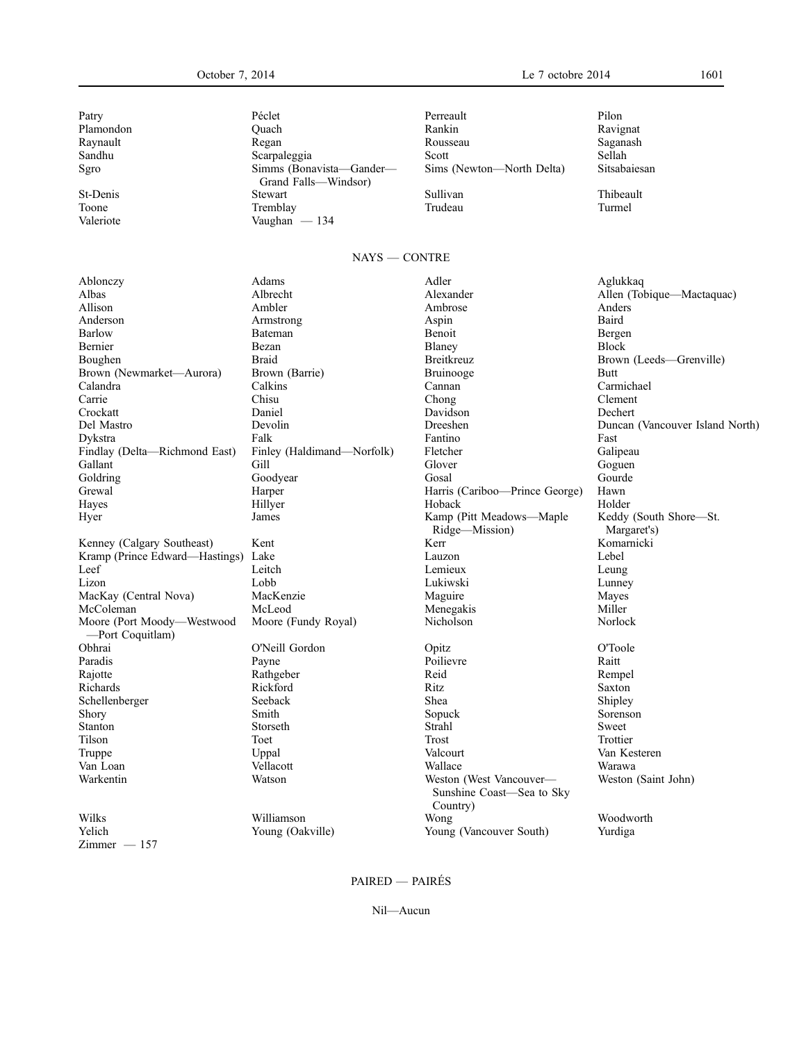Sgro Simms (Bonavista—Gander— Grand Falls—Windsor) Toone Tremblay Tremblay Trudeau Turmel Valeriote Vaughan — 134

Patry **Péclet** Perreault Perreault Perreault Perreault Perreault Perreault Perreault Perreault Perreault Perreault Per Plamondon Quach Rankin Ravignat Raynault Regan Rousseau Saganash Sandhu Scarpaleggia Scott Sellah Sims (Newton—North Delta) Sitsabaiesan St-Denis Stewart Stewart Sullivan Sullivan Thibeault

# NAYS — CONTRE

Ablonczy Adams Adler Aglukkaq Albas Albrecht Alexander Alexander Allen (Tobique—Mactaquac)<br>Allison Ambler Ambrose Ambrose Anders Allison Ambler Ambrose Anders Anderson Armstrong Aspin Baird Barlow Bateman Bateman Benoit Benoit Bergen Bernier Bezan Block Block Block Block Block Block Block Boughen Braid Braid Breitkreuz Brown (Leeds—Grenville)<br>Brown (Newmarket—Aurora) Brown (Barrie) Bruinooge Bruinooge Butt Brown (Newmarket—Aurora) Brown (Barrie) Bruinooge Butt<br>
Calandra Calmichael Calandra Carmichael Calmichael Calandra Carmichael Calandra Calkins Cannan Carmichael Carrie Chisu Chisu Chong Chong Clement Crockatt Daniel Davidson Dechert Del Mastro Devolin Dreeshen Duncan (Vancouver Island North) Dykstra Falk Fantino Fast Findlay (Delta—Richmond East) Finley (Haldimand—Norfolk) Fletcher Galipeau Gallant Gill Gill Glover Goguen Goldring Goodyear Gosal Gourde Grewal Harper Harper Harper Harper Harper Harper Harper Harper Harper Harper Harper Harper Holder Holder Holder<br>Herbeck Holder Holder Hayes Hillyer Hoback Holder Hyer James James Kamp (Pitt Meadows—Maple Ridge—Mission) Keddy (South Shore—St. Margaret's)<br>Komarnicki Kenney (Calgary Southeast) Kent Kerr Kerr Kent Kenney (Calgary Southeast) Kent Kenney (Calgary Southeast) Kent Kramp (Prince Edward—Hastings) Leef Leitch Leitch Lemieux Leung Lizon Lobb Lukiwski Lunney MacKay (Central Nova) MacKenzie Maguire Maguire Mayes<br>McColeman MacKenzie McLeod Menegakis Miller McColeman McLeod Menegakis Miller Moore (Port Moody—Westwood —Port Coquitlam) Moore (Fundy Royal) Nicholson Norlock Obhrai O'Neill Gordon Opitz O'Toole Paradis Payne Poilievre Raitt Rajotte Rathgeber Reid Rempel Richards Rickford Ritz Saxton Schellenberger Seeback Shea Shea Shipley Shea Shipley Shea Shipley Shea Shipley Shea Sheares Shea Sheares Shea<br>Shory Sheares Sheares Sheares Sheares Sheares Sheares Sheares Sheares Sheares Sheares Sheares Sheares Sheares Shory Smith Shory Smith Sopuck Sorenson Stanton Storseth Strahl Strahl Sweet Tilson Toet Trost Trottier Truppe Uppal Valcourt Van Kesteren Van Loan Vellacott Wallace Warawa Warkentin Watson Weston (West Vancouver— Sunshine Coast—Sea to Sky Country) Weston (Saint John) Wilks Williamson Wong Woodworth Yelich Young (Oakville) Young (Vancouver South) Yurdiga  $Zimmer - 157$ 

Nil—Aucun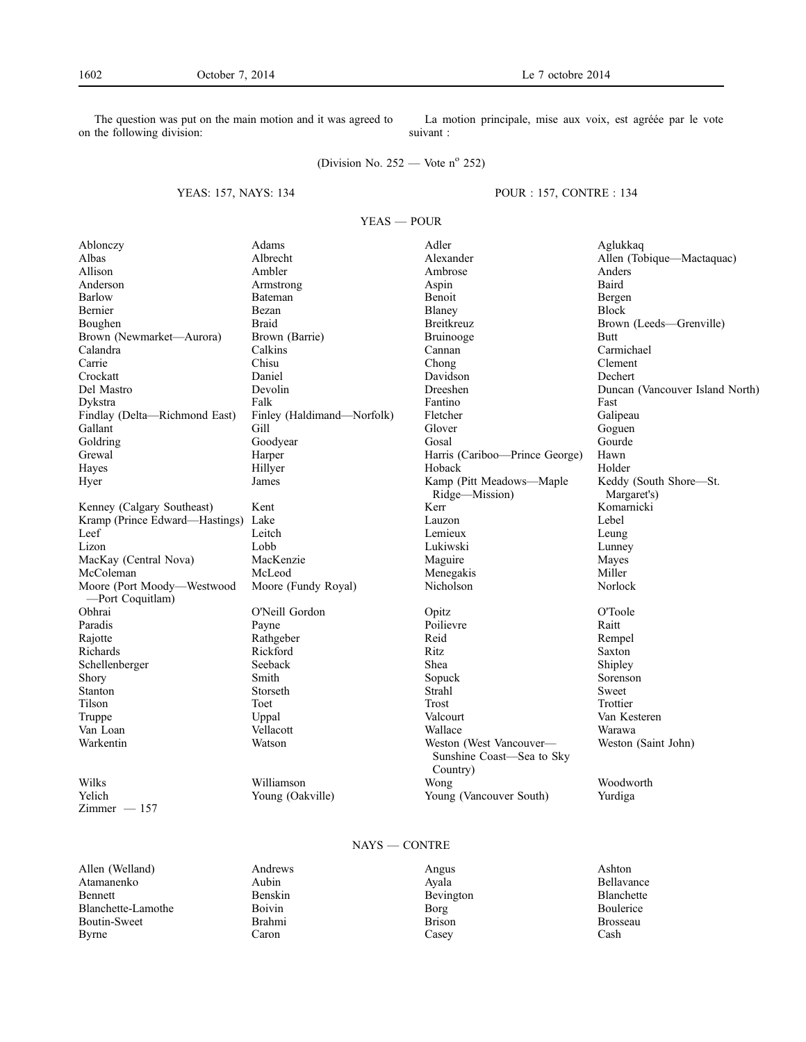The question was put on the main motion and it was agreed to on the following division:

La motion principale, mise aux voix, est agréée par le vote suivant :

(Division No. 252 — Vote  $n^{\circ}$  252)

# YEAS: 157, NAYS: 134

POUR : 157, CONTRE : 134

YEAS — POUR

| Ablonczy                            | Adams                      | Adler                                                            | Aglukkaq                        |
|-------------------------------------|----------------------------|------------------------------------------------------------------|---------------------------------|
| Albas                               | Albrecht                   | Alexander                                                        | Allen (Tobique-Mactaquac)       |
| Allison                             | Ambler                     | Ambrose                                                          | Anders                          |
| Anderson                            | Armstrong                  | Aspin                                                            | Baird                           |
| Barlow                              | Bateman                    | Benoit                                                           | Bergen                          |
| Bernier                             | Bezan                      | Blaney                                                           | <b>Block</b>                    |
| Boughen                             | <b>Braid</b>               | Breitkreuz                                                       | Brown (Leeds-Grenville)         |
| Brown (Newmarket-Aurora)            | Brown (Barrie)             | Bruinooge                                                        | <b>Butt</b>                     |
| Calandra                            | Calkins                    | Cannan                                                           | Carmichael                      |
| Carrie                              | Chisu                      | Chong                                                            | Clement                         |
| Crockatt                            | Daniel                     | Davidson                                                         | Dechert                         |
| Del Mastro                          | Devolin                    | Dreeshen                                                         | Duncan (Vancouver Island North) |
| Dykstra                             | Falk                       | Fantino                                                          | Fast                            |
| Findlay (Delta-Richmond East)       | Finley (Haldimand—Norfolk) | Fletcher                                                         | Galipeau                        |
| Gallant                             | Gill                       | Glover                                                           | Goguen                          |
| Goldring                            | Goodyear                   | Gosal                                                            | Gourde                          |
| Grewal                              | Harper                     | Harris (Cariboo-Prince George)                                   | Hawn                            |
| Hayes                               | Hillyer                    | Hoback                                                           | Holder                          |
| Hyer                                | James                      | Kamp (Pitt Meadows-Maple                                         | Keddy (South Shore-St.          |
|                                     |                            | Ridge-Mission)                                                   | Margaret's)                     |
| Kenney (Calgary Southeast)          | Kent                       | Kerr                                                             | Komarnicki                      |
| Kramp (Prince Edward-Hastings) Lake |                            | Lauzon                                                           | Lebel                           |
| Leef                                | Leitch                     | Lemieux                                                          | Leung                           |
| Lizon                               | Lobb                       | Lukiwski                                                         | Lunney                          |
| MacKay (Central Nova)               | MacKenzie                  | Maguire                                                          | Mayes                           |
| McColeman                           | McLeod                     | Menegakis                                                        | Miller                          |
| Moore (Port Moody-Westwood          | Moore (Fundy Royal)        | Nicholson                                                        | Norlock                         |
| -Port Coquitlam)                    |                            |                                                                  |                                 |
| Obhrai                              | O'Neill Gordon             | Opitz                                                            | O'Toole                         |
| Paradis                             | Payne                      | Poilievre                                                        | Raitt                           |
| Rajotte                             | Rathgeber                  | Reid                                                             | Rempel                          |
| Richards                            | Rickford                   | Ritz                                                             | Saxton                          |
| Schellenberger                      | Seeback                    | Shea                                                             | Shipley                         |
| Shory                               | Smith                      | Sopuck                                                           | Sorenson                        |
| Stanton                             | Storseth                   | Strahl                                                           | Sweet                           |
| Tilson                              | Toet                       | Trost                                                            | Trottier                        |
| Truppe                              | Uppal                      | Valcourt                                                         | Van Kesteren                    |
| Van Loan                            | Vellacott                  | Wallace                                                          | Warawa                          |
| Warkentin                           | Watson                     | Weston (West Vancouver-<br>Sunshine Coast-Sea to Sky<br>Country) | Weston (Saint John)             |
| Wilks                               | Williamson                 | Wong                                                             | Woodworth                       |
| Yelich                              | Young (Oakville)           | Young (Vancouver South)                                          | Yurdiga                         |
| $Zimmer - 157$                      |                            |                                                                  |                                 |
|                                     |                            |                                                                  |                                 |
| $NAYS = CONTRE$                     |                            |                                                                  |                                 |

Allen (Welland) Andrews Angus Ashton Atamanenko Aubin Ayala Bellavance Bennett Benskin Benskin Bevington Blanchette Blanchette-Lamothe Boivin Borg Boulerice Boutin-Sweet Brahmi Borg Brosseau Brosseau Boutin-Sweet Brahmi Brison Brossex Brahmi Brison Brossex Brossex Brossex Brossex Brossex Brossex Brossex Brossex Brossex Brossex Brossex Brossex Brossex Brossex Brossex Brossex Brossex Brossex Brossex Brossex Brossex Bross Byrne Caron Casey Cash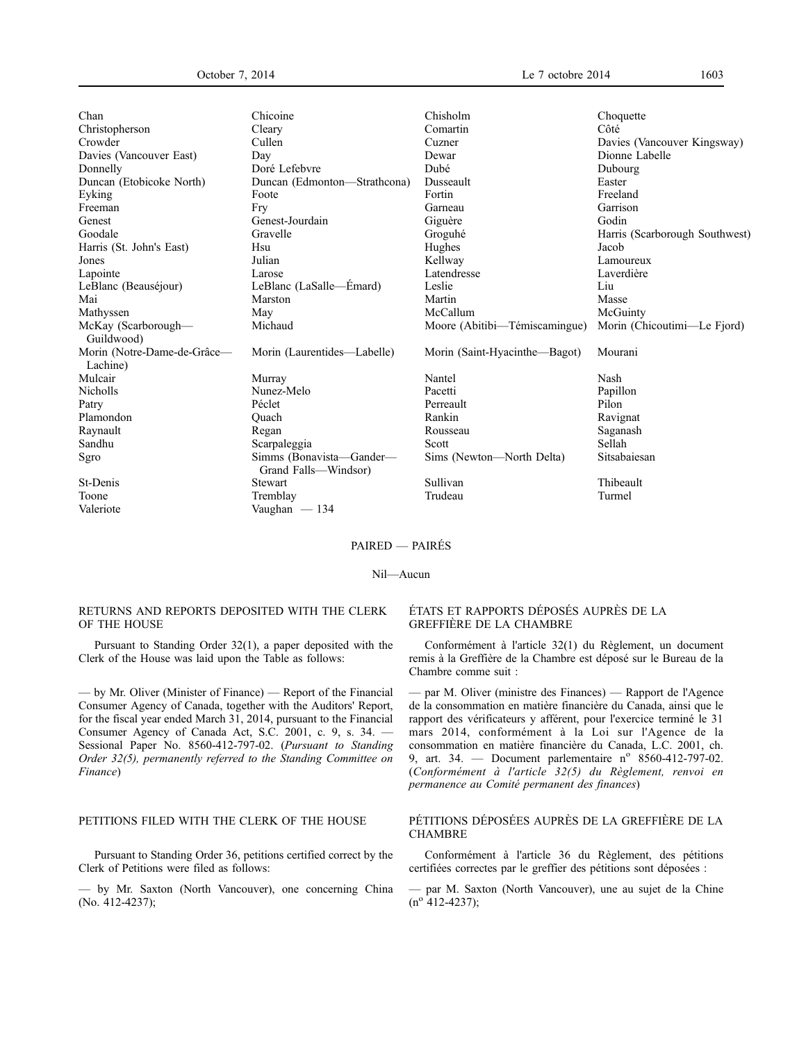| Chan                                    | Chicoine                                         | Chisholm                      | Choquette                      |
|-----------------------------------------|--------------------------------------------------|-------------------------------|--------------------------------|
| Christopherson                          | Cleary                                           | Comartin                      | Côté                           |
| Crowder                                 | Cullen                                           | Cuzner                        | Davies (Vancouver Kingsway)    |
| Davies (Vancouver East)                 | Day                                              | Dewar                         | Dionne Labelle                 |
| Donnelly                                | Doré Lefebvre                                    | Dubé                          | Dubourg                        |
| Duncan (Etobicoke North)                | Duncan (Edmonton—Strathcona)                     | Dusseault                     | Easter                         |
| Eyking                                  | Foote                                            | Fortin                        | Freeland                       |
| Freeman                                 | Fry                                              | Garneau                       | Garrison                       |
| Genest                                  | Genest-Jourdain                                  | Giguère                       | Godin                          |
| Goodale                                 | Gravelle                                         | Groguhé                       | Harris (Scarborough Southwest) |
| Harris (St. John's East)                | Hsu                                              | Hughes                        | Jacob                          |
| Jones                                   | Julian                                           | Kellway                       | Lamoureux                      |
| Lapointe                                | Larose                                           | Latendresse                   | Laverdière                     |
| LeBlanc (Beauséjour)                    | LeBlanc (LaSalle—Émard)                          | Leslie                        | Liu                            |
| Mai                                     | Marston                                          | Martin                        | Masse                          |
| Mathyssen                               | May                                              | McCallum                      | McGuinty                       |
| McKay (Scarborough—<br>Guildwood)       | Michaud                                          | Moore (Abitibi—Témiscamingue) | Morin (Chicoutimi—Le Fjord)    |
| Morin (Notre-Dame-de-Grâce-<br>Lachine) | Morin (Laurentides—Labelle)                      | Morin (Saint-Hyacinthe—Bagot) | Mourani                        |
| Mulcair                                 | Murray                                           | Nantel                        | Nash                           |
| <b>Nicholls</b>                         | Nunez-Melo                                       | Pacetti                       | Papillon                       |
| Patry                                   | Péclet                                           | Perreault                     | Pilon                          |
| Plamondon                               | Quach                                            | Rankin                        | Ravignat                       |
| Raynault                                | Regan                                            | Rousseau                      | Saganash                       |
| Sandhu                                  | Scarpaleggia                                     | Scott                         | Sellah                         |
| Sgro                                    | Simms (Bonavista—Gander—<br>Grand Falls—Windsor) | Sims (Newton—North Delta)     | Sitsabaiesan                   |
| St-Denis                                | <b>Stewart</b>                                   | Sullivan                      | Thibeault                      |
| Toone                                   | Tremblay                                         | Trudeau                       | Turmel                         |
| Valeriote                               | Vaughan $-134$                                   |                               |                                |

## PAIRED — PAIRÉS

Nil—Aucun

## RETURNS AND REPORTS DEPOSITED WITH THE CLERK OF THE HOUSE

Pursuant to Standing Order 32(1), a paper deposited with the Clerk of the House was laid upon the Table as follows:

— by Mr. Oliver (Minister of Finance) — Report of the Financial Consumer Agency of Canada, together with the Auditors' Report, for the fiscal year ended March 31, 2014, pursuant to the Financial Consumer Agency of Canada Act, S.C. 2001, c. 9, s. 34. — Sessional Paper No. 8560-412-797-02. (*Pursuant to Standing Order 32(5), permanently referred to the Standing Committee on Finance*)

## PETITIONS FILED WITH THE CLERK OF THE HOUSE

Pursuant to Standing Order 36, petitions certified correct by the Clerk of Petitions were filed as follows:

— by Mr. Saxton (North Vancouver), one concerning China (No. 412-4237);

## ÉTATS ET RAPPORTS DÉPOSÉS AUPRÈS DE LA GREFFIÈRE DE LA CHAMBRE

Conformément à l'article 32(1) du Règlement, un document remis à la Greffière de la Chambre est déposé sur le Bureau de la Chambre comme suit :

— par M. Oliver (ministre des Finances) — Rapport de l'Agence de la consommation en matière financière du Canada, ainsi que le rapport des vérificateurs y afférent, pour l'exercice terminé le 31 mars 2014, conformément à la Loi sur l'Agence de la consommation en matière financière du Canada, L.C. 2001, ch. 9, art. 34. — Document parlementaire nº 8560-412-797-02. (*Conformément à l'article 32(5) du Règlement, renvoi en permanence au Comité permanent des finances*)

## PÉTITIONS DÉPOSÉES AUPRÈS DE LA GREFFIÈRE DE LA **CHAMBRE**

Conformément à l'article 36 du Règlement, des pétitions certifiées correctes par le greffier des pétitions sont déposées :

— par M. Saxton (North Vancouver), une au sujet de la Chine  $(n^{o} 412 - 4237);$